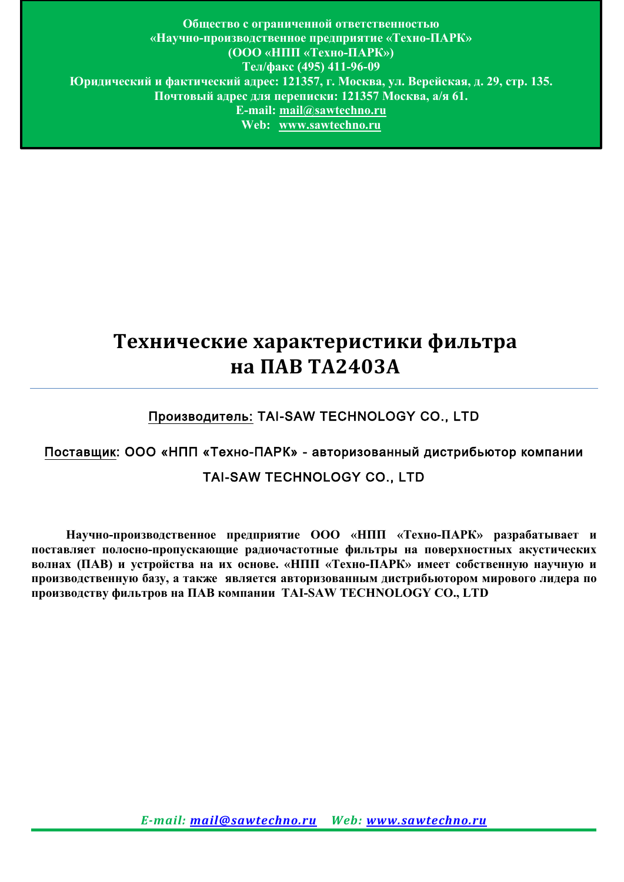**Общество с ограниченной ответственностью «Научно-производственное предприятие «Техно-ПАРК» (ООО «НПП «Техно-ПАРК») Тел/факс (495) 411-96-09 Юридический и фактический адрес: 121357, г. Москва, ул. Верейская, д. 29, стр. 135. Почтовый адрес для переписки: 121357 Москва, а/я 61. E-mail: mail@sawtechno.ru Web: www.sawtechno.ru**

# **Технические характеристики фильтра на ПАВ TA2403A**

# Производитель: TAI-SAW TECHNOLOGY CO., LTD

# Поставщик: ООО «НПП «Техно-ПАРК» - авторизованный дистрибьютор компании

## TAI-SAW TECHNOLOGY CO., LTD

 **Научно-производственное предприятие ООО «НПП «Техно-ПАРК» разрабатывает и поставляет полосно-пропускающие радиочастотные фильтры на поверхностных акустических волнах (ПАВ) и устройства на их основе. «НПП «Техно-ПАРК» имеет собственную научную и производственную базу, а также является авторизованным дистрибьютором мирового лидера по производству фильтров на ПАВ компании TAI-SAW TECHNOLOGY CO., LTD**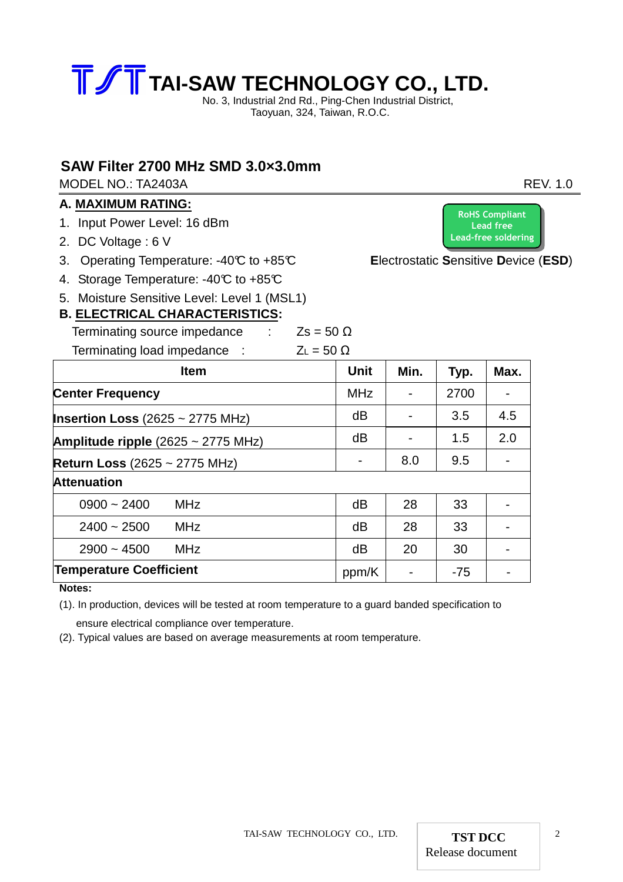

No. 3, Industrial 2nd Rd., Ping-Chen Industrial District, Taoyuan, 324, Taiwan, R.O.C.

### **SAW Filter 2700 MHz SMD 3.0×3.0mm**

MODEL NO.: TA2403A REV. 1.0

#### **A. MAXIMUM RATING:**

- 1. Input Power Level: 16 dBm
- 2. DC Voltage : 6 V
- 3. Operating Temperature: -40°C to +85°C **E**lectrostatic **S**ensitive **D**evice (**ESD**)
- 4. Storage Temperature: -40°C to +85°C
- 5. Moisture Sensitive Level: Level 1 (MSL1)

# **B. ELECTRICAL CHARACTERISTICS:**

Terminating source impedance :  $Zs = 50 \Omega$ Terminating load impedance  $\cdot$   $\overline{z_1} = 50$  O

| <u>.</u> Chrimiamig iodd impouantoc             |             |      |       |      |
|-------------------------------------------------|-------------|------|-------|------|
| <b>Item</b>                                     | <b>Unit</b> | Min. | Typ.  | Max. |
| <b>Center Frequency</b>                         | <b>MHz</b>  |      | 2700  |      |
| <b>Insertion Loss</b> (2625 $\sim$ 2775 MHz)    | dB          |      | 3.5   | 4.5  |
| Amplitude ripple $(2625 \sim 2775 \text{ MHz})$ | dB          |      | 1.5   | 2.0  |
| <b>Return Loss (2625 ~ 2775 MHz)</b>            |             | 8.0  | 9.5   |      |
| <b>Attenuation</b>                              |             |      |       |      |
| $0900 - 2400$<br><b>MHz</b>                     | dB          | 28   | 33    |      |
| <b>MHz</b><br>$2400 - 2500$                     | dB          | 28   | 33    |      |
| $2900 - 4500$<br><b>MHz</b>                     | dB          | 20   | 30    |      |
| <b>Temperature Coefficient</b>                  | ppm/K       |      | $-75$ |      |

**Notes:** 

(1). In production, devices will be tested at room temperature to a guard banded specification to

ensure electrical compliance over temperature.

(2). Typical values are based on average measurements at room temperature.

**RoHS Compliant Lead free Lead-free soldering**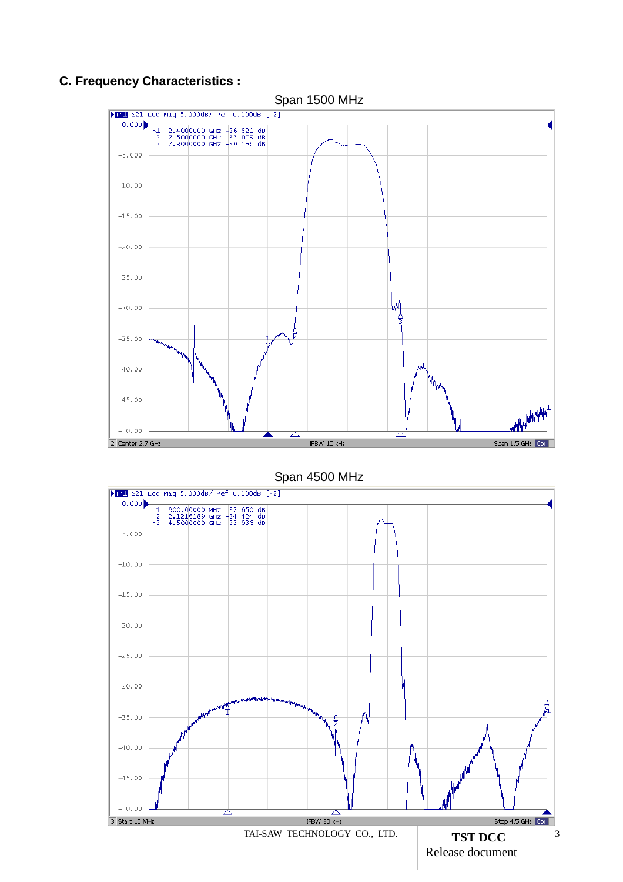## **C. Frequency Characteristics :**



#### Span 1500 MHz

Span 4500 MHz

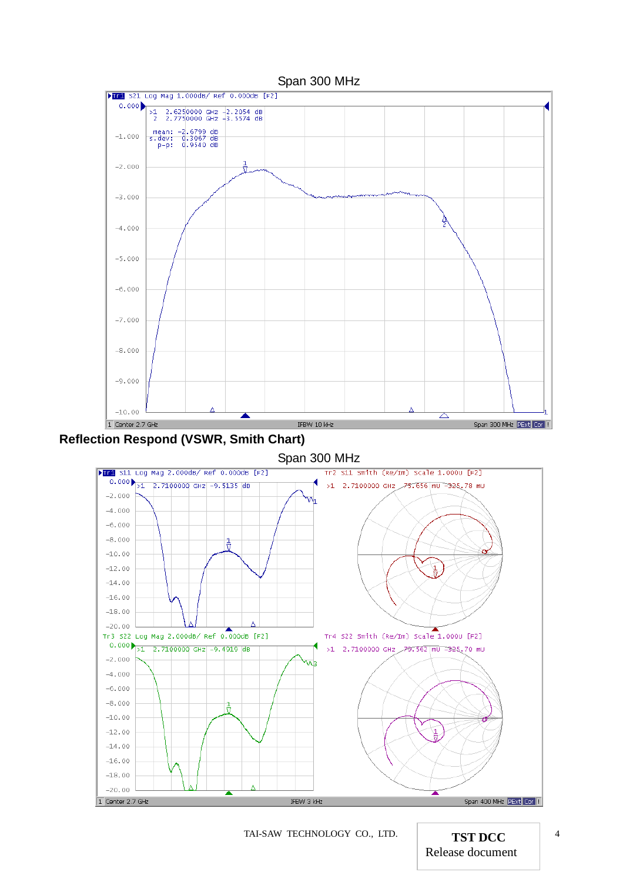

TAI-SAW TECHNOLOGY CO., LTD. **TST DCC** <sup>4</sup>

Release document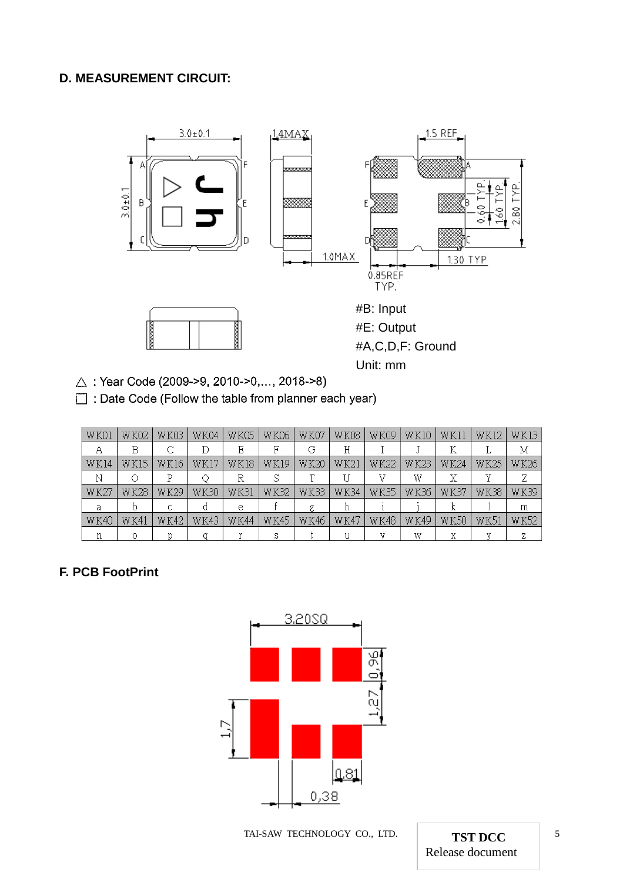## **D. MEASUREMENT CIRCUIT:**



 $\triangle$ : Year Code (2009->9, 2010->0,..., 2018->8)

Date Code (Follow the table from planner each year)

| WK01        | W KO2       | WK03        | <b>WK04</b> | <b>WK05</b> | WK06        | WK07        | <b>WK08</b> | <b>WK09</b> | WK10        | WK11        | WK12        | <b>WK13</b> |
|-------------|-------------|-------------|-------------|-------------|-------------|-------------|-------------|-------------|-------------|-------------|-------------|-------------|
| Α           | B           |             | D           | Ε           | F           | G           | Η           |             |             | K           |             | Μ           |
| <b>WK14</b> | WK 15       | WK 16       | WK 17       | <b>WK18</b> | WK19        | WK20        | WK21        | <b>WK22</b> | <b>WK23</b> | W K 24      | WK25        | WK26        |
| Ν           | ∩           | Ρ           |             | R           | S           | Τ           |             | 37          | W           | Χ           | v           | Ζ           |
| WK2.        | WK28        | WK29        | <b>WK30</b> | WK31        | <b>WK32</b> | <b>WK33</b> | <b>WK34</b> | <b>WK35</b> | <b>WK36</b> | WK37        | <b>WK38</b> | WK39        |
| a           |             | C           | d           | е           |             | g           |             |             |             | ĸ           |             | m           |
| WK40        | <b>WK41</b> | <b>WK42</b> | <b>WK43</b> | WK44        | <b>WK45</b> | <b>WK46</b> | WK47        | <b>WK48</b> | <b>WK49</b> | <b>WK50</b> | wk51        | WK52        |
|             |             |             |             |             | s           |             |             |             | W           | Х           | v           | 7.          |

#### **F. PCB FootPrint**



TAI-SAW TECHNOLOGY CO., LTD. **TST DCC** 5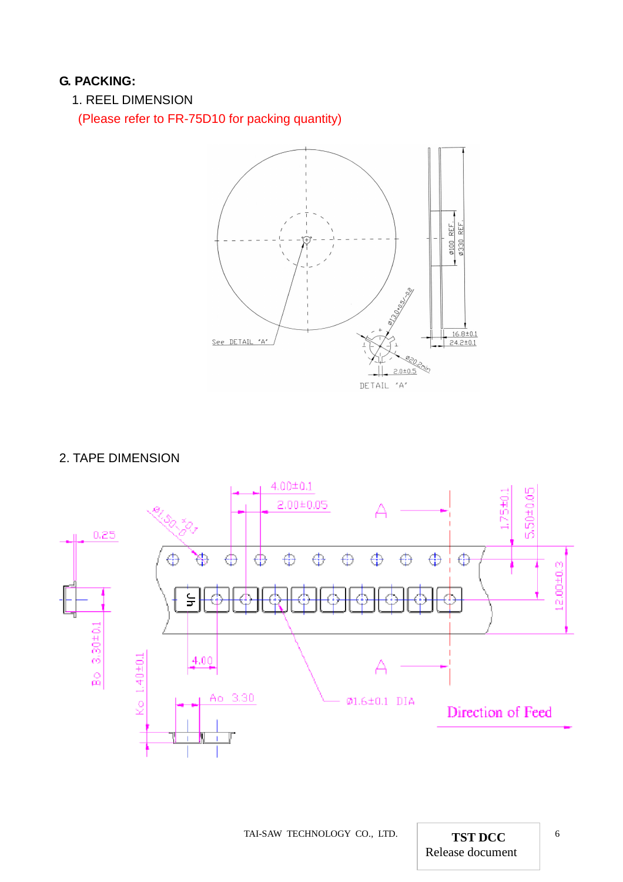#### **G. PACKING:**

1. REEL DIMENSION

(Please refer to FR-75D10 for packing quantity)



#### 2. TAPE DIMENSION